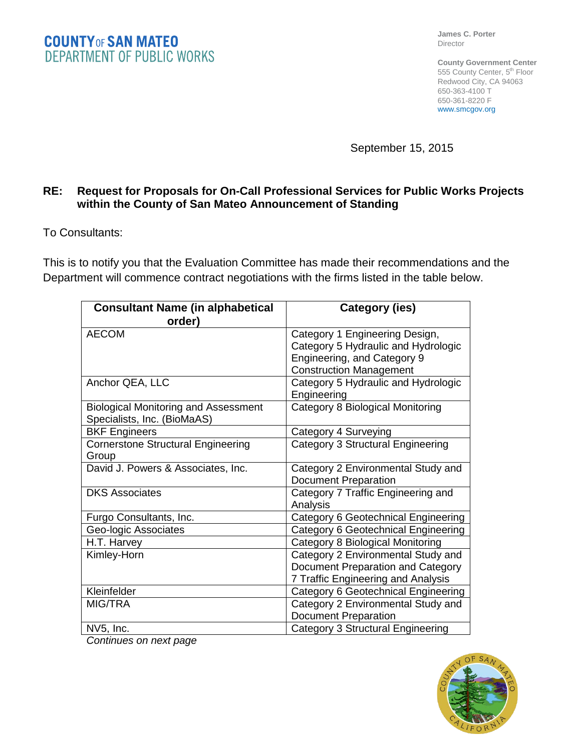**James C. Porter** Director

**County Government Center** 555 County Center, 5<sup>th</sup> Floor Redwood City, CA 94063 650-363-4100 T 650-361-8220 F www.smcgov.org

September 15, 2015

## **RE: Request for Proposals for On-Call Professional Services for Public Works Projects within the County of San Mateo Announcement of Standing**

To Consultants:

This is to notify you that the Evaluation Committee has made their recommendations and the Department will commence contract negotiations with the firms listed in the table below.

| <b>Consultant Name (in alphabetical</b>     | Category (ies)                           |
|---------------------------------------------|------------------------------------------|
| order)                                      |                                          |
| <b>AECOM</b>                                | Category 1 Engineering Design,           |
|                                             | Category 5 Hydraulic and Hydrologic      |
|                                             | Engineering, and Category 9              |
|                                             | <b>Construction Management</b>           |
| Anchor QEA, LLC                             | Category 5 Hydraulic and Hydrologic      |
|                                             | Engineering                              |
| <b>Biological Monitoring and Assessment</b> | Category 8 Biological Monitoring         |
| Specialists, Inc. (BioMaAS)                 |                                          |
| <b>BKF Engineers</b>                        | Category 4 Surveying                     |
| <b>Cornerstone Structural Engineering</b>   | Category 3 Structural Engineering        |
| Group                                       |                                          |
| David J. Powers & Associates, Inc.          | Category 2 Environmental Study and       |
|                                             | <b>Document Preparation</b>              |
| <b>DKS Associates</b>                       | Category 7 Traffic Engineering and       |
|                                             | Analysis                                 |
| Furgo Consultants, Inc.                     | Category 6 Geotechnical Engineering      |
| Geo-logic Associates                        | Category 6 Geotechnical Engineering      |
| H.T. Harvey                                 | <b>Category 8 Biological Monitoring</b>  |
| Kimley-Horn                                 | Category 2 Environmental Study and       |
|                                             | Document Preparation and Category        |
|                                             | 7 Traffic Engineering and Analysis       |
| Kleinfelder                                 | Category 6 Geotechnical Engineering      |
| MIG/TRA                                     | Category 2 Environmental Study and       |
|                                             | <b>Document Preparation</b>              |
| NV5, Inc.                                   | <b>Category 3 Structural Engineering</b> |

*Continues on next page*